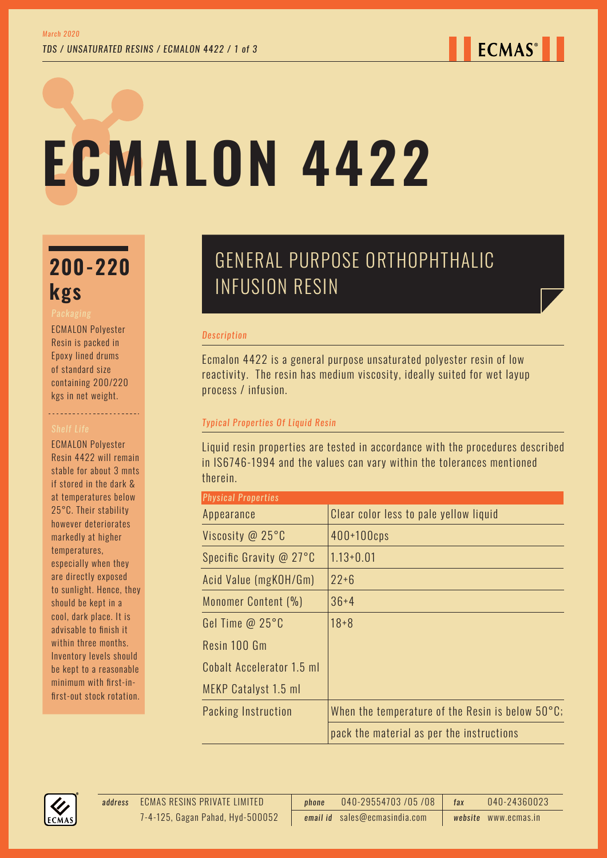# **ECMALON 4422**

# **200-220 kgs**

ECMALON Polyester Resin is packed in Epoxy lined drums of standard size containing 200/220 kgs in net weight.

----------------------

ECMALON Polyester Resin 4422 will remain stable for about 3 mnts if stored in the dark & at temperatures below 25°C. Their stability however deteriorates markedly at higher temperatures, especially when they are directly exposed to sunlight. Hence, they should be kept in a cool, dark place. It is advisable to finish it within three months. Inventory levels should be kept to a reasonable minimum with first-infirst-out stock rotation.

## GENERAL PURPOSE ORTHOPHTHALIC INFUSION RESIN

#### *Description*

Ecmalon 4422 is a general purpose unsaturated polyester resin of low reactivity. The resin has medium viscosity, ideally suited for wet layup process / infusion.

## *Typical Properties Of Liquid Resin*

Liquid resin properties are tested in accordance with the procedures described in IS6746-1994 and the values can vary within the tolerances mentioned therein.

| <b>Physical Properties</b> |                                                            |  |  |
|----------------------------|------------------------------------------------------------|--|--|
| Appearance                 | Clear color less to pale yellow liquid                     |  |  |
| Viscosity @ 25°C           | $400+100$ cps                                              |  |  |
| Specific Gravity @ 27°C    | $1.13 + 0.01$                                              |  |  |
| Acid Value (mgKOH/Gm)      | $22 + 6$                                                   |  |  |
| Monomer Content (%)        | $36 + 4$                                                   |  |  |
| Gel Time $@25°C$           | $18 + 8$                                                   |  |  |
| Resin 100 Gm               |                                                            |  |  |
| Cobalt Accelerator 1.5 ml  |                                                            |  |  |
| MEKP Catalyst 1.5 ml       |                                                            |  |  |
| Packing Instruction        | When the temperature of the Resin is below $50^{\circ}$ C; |  |  |
|                            | pack the material as per the instructions                  |  |  |



ECMAS RESINS PRIVATE LIMITED *address phone* 040-29554703 /05 /08 *fax* 040-24360023 *email id* sales@ecmasindia.com *website* www.ecmas.in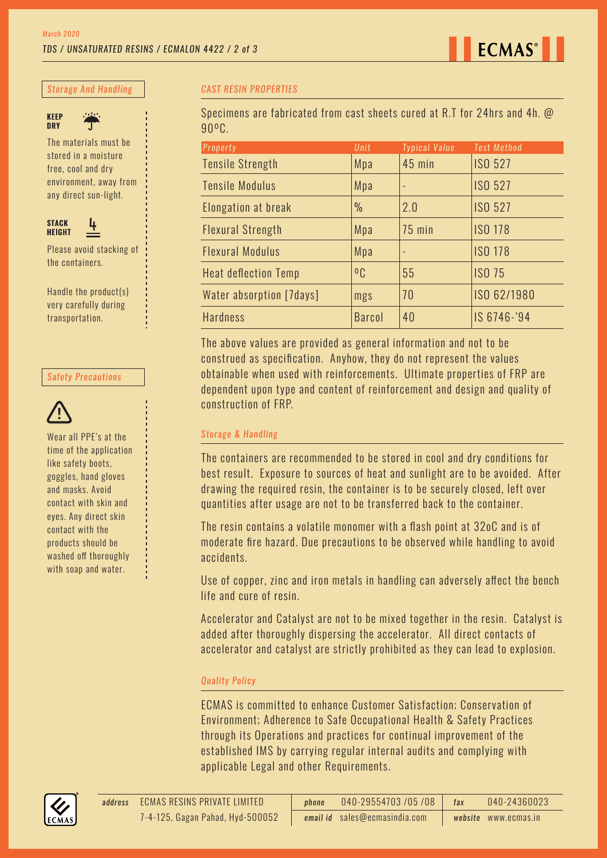*Storage And Handling*



The materials must be stored in a moisture free, cool and dry environment, away from

any direct sun-light.



Please avoid stacking of the containers.

Handle the product(s) very carefully during transportation.

#### *Safety Precautions*



Wear all PPE's at the time of the application like safety boots, goggles, hand gloves and masks. Avoid contact with skin and eyes. Any direct skin contact with the products should be washed off thoroughly with soap and water.

#### *CAST RESIN PROPERTIES*

Specimens are fabricated from cast sheets cured at R.T for 24hrs and 4h. @ 90ºC.

| <b>Property</b>             | Unit           | <b>Typical Value</b> | <b>Test Method</b> |
|-----------------------------|----------------|----------------------|--------------------|
| <b>Tensile Strength</b>     | Mpa            | 45 min               | <b>ISO 527</b>     |
| <b>Tensile Modulus</b>      | Mpa            |                      | <b>ISO 527</b>     |
| Elongation at break         | $\frac{0}{0}$  | 2.0                  | <b>ISO 527</b>     |
| <b>Flexural Strength</b>    | Mpa            | <b>75 min</b>        | <b>ISO 178</b>     |
| <b>Flexural Modulus</b>     | Mpa            |                      | <b>ISO 178</b>     |
| <b>Heat deflection Temp</b> | 0 <sub>C</sub> | 55                   | <b>ISO 75</b>      |
| Water absorption [7days]    | mgs            | 70                   | ISO 62/1980        |
| <b>Hardness</b>             | <b>Barcol</b>  | 40                   | IS 6746-'94        |

The above values are provided as general information and not to be construed as specification. Anyhow, they do not represent the values obtainable when used with reinforcements. Ultimate properties of FRP are dependent upon type and content of reinforcement and design and quality of construction of FRP.

#### *Storage & Handling*

The containers are recommended to be stored in cool and dry conditions for best result. Exposure to sources of heat and sunlight are to be avoided. After drawing the required resin, the container is to be securely closed, left over quantities after usage are not to be transferred back to the container.

The resin contains a volatile monomer with a flash point at 32oC and is of moderate fire hazard. Due precautions to be observed while handling to avoid accidents.

Use of copper, zinc and iron metals in handling can adversely affect the bench life and cure of resin.

Accelerator and Catalyst are not to be mixed together in the resin. Catalyst is added after thoroughly dispersing the accelerator. All direct contacts of accelerator and catalyst are strictly prohibited as they can lead to explosion.

## *Quality Policy*

ECMAS is committed to enhance Customer Satisfaction; Conservation of Environment; Adherence to Safe Occupational Health & Safety Practices through its Operations and practices for continual improvement of the established IMS by carrying regular internal audits and complying with applicable Legal and other Requirements.